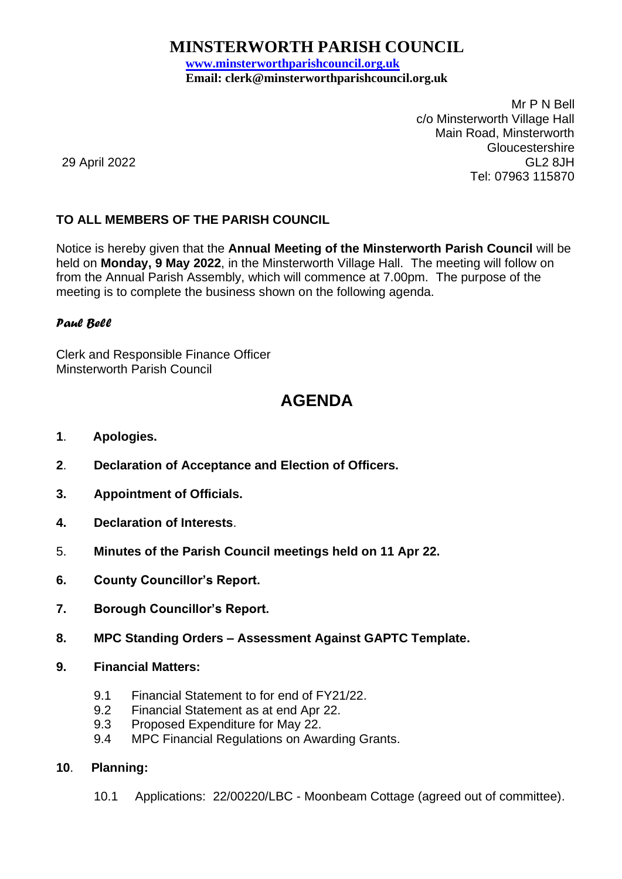## **MINSTERWORTH PARISH COUNCIL**

**[www.minsterworthparishcouncil.org.uk](http://www.minsterworthparishcouncil.org.uk/) Email: clerk@minsterworthparishcouncil.org.uk**

> Mr P N Bell c/o Minsterworth Village Hall Main Road, Minsterworth Gloucestershire GL2 8JH Tel: 07963 115870

29 April 2022

## **TO ALL MEMBERS OF THE PARISH COUNCIL**

Notice is hereby given that the **Annual Meeting of the Minsterworth Parish Council** will be held on **Monday, 9 May 2022**, in the Minsterworth Village Hall. The meeting will follow on from the Annual Parish Assembly, which will commence at 7.00pm. The purpose of the meeting is to complete the business shown on the following agenda.

## *Paul Bell*

Clerk and Responsible Finance Officer Minsterworth Parish Council

## **AGENDA**

- **1**. **Apologies.**
- **2**. **Declaration of Acceptance and Election of Officers.**
- **3. Appointment of Officials.**
- **4. Declaration of Interests**.
- 5. **Minutes of the Parish Council meetings held on 11 Apr 22.**
- **6. County Councillor's Report.**
- **7. Borough Councillor's Report.**
- **8. MPC Standing Orders – Assessment Against GAPTC Template.**
- **9. Financial Matters:**
	- 9.1 Financial Statement to for end of FY21/22.
	- 9.2 Financial Statement as at end Apr 22.
	- 9.3 Proposed Expenditure for May 22.
	- 9.4 MPC Financial Regulations on Awarding Grants.
- **10**. **Planning:**
	- 10.1 Applications: 22/00220/LBC Moonbeam Cottage (agreed out of committee).